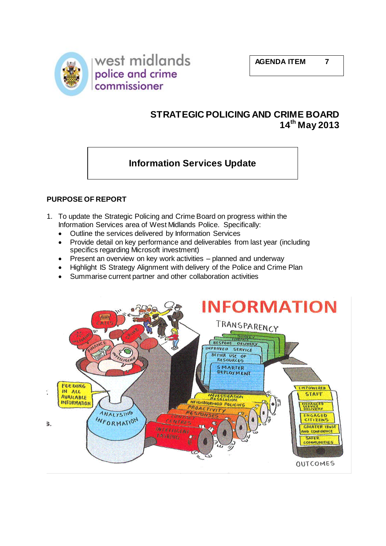



# **STRATEGIC POLICING AND CRIME BOARD 14th May 2013**

# **Information Services Update**

# **PURPOSE OF REPORT**

- 1. To update the Strategic Policing and Crime Board on progress within the Information Services area of West Midlands Police. Specifically:
	- Outline the services delivered by Information Services
	- Provide detail on key performance and deliverables from last year (including specifics regarding Microsoft investment)
	- Present an overview on key work activities planned and underway
	- Highlight IS Strategy Alignment with delivery of the Police and Crime Plan
	- Summarise current partner and other collaboration activities

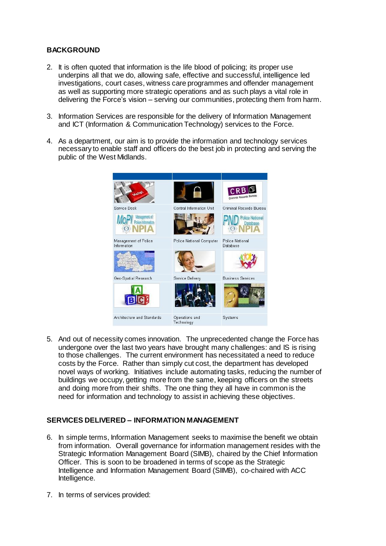# **BACKGROUND**

- 2. It is often quoted that information is the life blood of policing; its proper use underpins all that we do, allowing safe, effective and successful, intelligence led investigations, court cases, witness care programmes and offender management as well as supporting more strategic operations and as such plays a vital role in delivering the Force's vision – serving our communities, protecting them from harm.
- 3. Information Services are responsible for the delivery of Information Management and ICT (Information & Communication Technology) services to the Force.
- 4. As a department, our aim is to provide the information and technology services necessary to enable staff and officers do the best job in protecting and serving the public of the West Midlands.



5. And out of necessity comes innovation. The unprecedented change the Force has undergone over the last two years have brought many challenges: and IS is rising to those challenges. The current environment has necessitated a need to reduce costs by the Force. Rather than simply cut cost, the department has developed novel ways of working. Initiatives include automating tasks, reducing the number of buildings we occupy, getting more from the same, keeping officers on the streets and doing more from their shifts. The one thing they all have in common is the need for information and technology to assist in achieving these objectives.

## **SERVICES DELIVERED – INFORMATION MANAGEMENT**

- 6. In simple terms, Information Management seeks to maximise the benefit we obtain from information. Overall governance for information management resides with the Strategic Information Management Board (SIMB), chaired by the Chief Information Officer. This is soon to be broadened in terms of scope as the Strategic Intelligence and Information Management Board (SIIMB), co-chaired with ACC Intelligence.
- 7. In terms of services provided: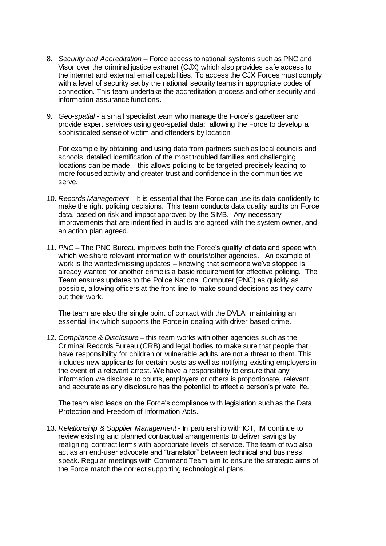- 8. *Security and Accreditation* Force access to national systems such as PNC and Visor over the criminal justice extranet (CJX) which also provides safe access to the internet and external email capabilities. To access the CJX Forces must comply with a level of security set by the national security teams in appropriate codes of connection. This team undertake the accreditation process and other security and information assurance functions.
- 9. *Geo-spatial* a small specialist team who manage the Force's gazetteer and provide expert services using geo-spatial data; allowing the Force to develop a sophisticated sense of victim and offenders by location

For example by obtaining and using data from partners such as local councils and schools detailed identification of the most troubled families and challenging locations can be made – this allows policing to be targeted precisely leading to more focused activity and greater trust and confidence in the communities we serve.

- 10. *Records Management* It is essential that the Force can use its data confidently to make the right policing decisions. This team conducts data quality audits on Force data, based on risk and impact approved by the SIMB. Any necessary improvements that are indentified in audits are agreed with the system owner, and an action plan agreed.
- 11. *PNC* The PNC Bureau improves both the Force's quality of data and speed with which we share relevant information with courts\other agencies. An example of work is the wanted\missing updates – knowing that someone we've stopped is already wanted for another crime is a basic requirement for effective policing. The Team ensures updates to the Police National Computer (PNC) as quickly as possible, allowing officers at the front line to make sound decisions as they carry out their work.

The team are also the single point of contact with the DVLA: maintaining an essential link which supports the Force in dealing with driver based crime.

12. *Compliance & Disclosure* – this team works with other agencies such as the Criminal Records Bureau (CRB) and legal bodies to make sure that people that have responsibility for children or vulnerable adults are not a threat to them. This includes new applicants for certain posts as well as notifying existing employers in the event of a relevant arrest. We have a responsibility to ensure that any information we disclose to courts, employers or others is proportionate, relevant and accurate as any disclosure has the potential to affect a person's private life.

The team also leads on the Force's compliance with legislation such as the Data Protection and Freedom of Information Acts.

13. *Relationship & Supplier Management* - In partnership with ICT, IM continue to review existing and planned contractual arrangements to deliver savings by realigning contract terms with appropriate levels of service. The team of two also act as an end-user advocate and "translator" between technical and business speak. Regular meetings with Command Team aim to ensure the strategic aims of the Force match the correct supporting technological plans.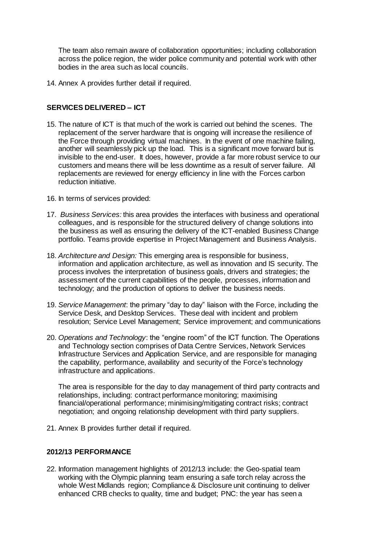The team also remain aware of collaboration opportunities; including collaboration across the police region, the wider police community and potential work with other bodies in the area such as local councils.

14. Annex A provides further detail if required.

# **SERVICES DELIVERED – ICT**

- 15. The nature of ICT is that much of the work is carried out behind the scenes. The replacement of the server hardware that is ongoing will increase the resilience of the Force through providing virtual machines. In the event of one machine failing, another will seamlessly pick up the load. This is a significant move forward but is invisible to the end-user. It does, however, provide a far more robust service to our customers and means there will be less downtime as a result of server failure. All replacements are reviewed for energy efficiency in line with the Forces carbon reduction initiative.
- 16. In terms of services provided:
- 17. *Business Services:* this area provides the interfaces with business and operational colleagues, and is responsible for the structured delivery of change solutions into the business as well as ensuring the delivery of the ICT-enabled Business Change portfolio. Teams provide expertise in Project Management and Business Analysis.
- 18. *Architecture and Design:* This emerging area is responsible for business, information and application architecture, as well as innovation and IS security. The process involves the interpretation of business goals, drivers and strategies; the assessment of the current capabilities of the people, processes, information and technology; and the production of options to deliver the business needs.
- 19. *Service Management*: the primary "day to day" liaison with the Force, including the Service Desk, and Desktop Services. These deal with incident and problem resolution; Service Level Management; Service improvement; and communications
- 20. *Operations and Technology*: the "engine room" of the ICT function. The Operations and Technology section comprises of Data Centre Services, Network Services Infrastructure Services and Application Service, and are responsible for managing the capability, performance, availability and security of the Force's technology infrastructure and applications.

The area is responsible for the day to day management of third party contracts and relationships, including: contract performance monitoring; maximising financial/operational performance; minimising/mitigating contract risks; contract negotiation; and ongoing relationship development with third party suppliers.

21. Annex B provides further detail if required.

## **2012/13 PERFORMANCE**

22. Information management highlights of 2012/13 include: the Geo-spatial team working with the Olympic planning team ensuring a safe torch relay across the whole West Midlands region; Compliance & Disclosure unit continuing to deliver enhanced CRB checks to quality, time and budget; PNC: the year has seen a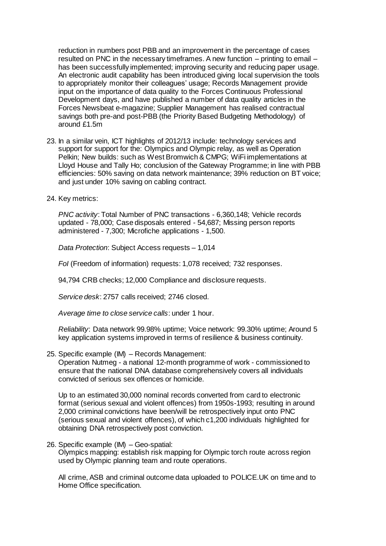reduction in numbers post PBB and an improvement in the percentage of cases resulted on PNC in the necessary timeframes. A new function – printing to email – has been successfully implemented; improving security and reducing paper usage. An electronic audit capability has been introduced giving local supervision the tools to appropriately monitor their colleagues' usage; Records Management provide input on the importance of data quality to the Forces Continuous Professional Development days, and have published a number of data quality articles in the Forces Newsbeat e-magazine; Supplier Management has realised contractual savings both pre-and post-PBB (the Priority Based Budgeting Methodology) of around £1.5m

- 23. In a similar vein, ICT highlights of 2012/13 include: technology services and support for support for the: Olympics and Olympic relay, as well as Operation Pelkin; New builds: such as West Bromwich & CMPG; WiFi implementations at Lloyd House and Tally Ho; conclusion of the Gateway Programme; in line with PBB efficiencies: 50% saving on data network maintenance; 39% reduction on BT voice; and just under 10% saving on cabling contract.
- 24. Key metrics:

*PNC activity*: Total Number of PNC transactions - 6,360,148; Vehicle records updated - 78,000; Case disposals entered - 54,687; Missing person reports administered - 7,300; Microfiche applications - 1,500.

*Data Protection*: Subject Access requests – 1,014

*FoI* (Freedom of information) requests: 1,078 received; 732 responses.

94,794 CRB checks; 12,000 Compliance and disclosure requests.

*Service desk*: 2757 calls received; 2746 closed.

*Average time to close service calls*: under 1 hour.

*Reliability*: Data network 99.98% uptime; Voice network: 99.30% uptime; Around 5 key application systems improved in terms of resilience & business continuity.

25. Specific example (IM) – Records Management:

Operation Nutmeg - a national 12-month programme of work - commissioned to ensure that the national DNA database comprehensively covers all individuals convicted of serious sex offences or homicide.

Up to an estimated 30,000 nominal records converted from card to electronic format (serious sexual and violent offences) from 1950s-1993; resulting in around 2,000 criminal convictions have been/will be retrospectively input onto PNC (serious sexual and violent offences), of which c1,200 individuals highlighted for obtaining DNA retrospectively post conviction.

26. Specific example (IM) – Geo-spatial: Olympics mapping: establish risk mapping for Olympic torch route across region used by Olympic planning team and route operations.

All crime, ASB and criminal outcome data uploaded to POLICE.UK on time and to Home Office specification.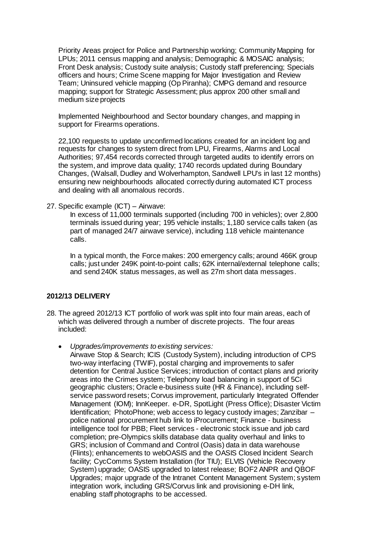Priority Areas project for Police and Partnership working; Community Mapping for LPUs; 2011 census mapping and analysis; Demographic & MOSAIC analysis; Front Desk analysis; Custody suite analysis; Custody staff preferencing; Specials officers and hours; Crime Scene mapping for Major Investigation and Review Team; Uninsured vehicle mapping (Op Piranha); CMPG demand and resource mapping; support for Strategic Assessment; plus approx 200 other small and medium size projects

Implemented Neighbourhood and Sector boundary changes, and mapping in support for Firearms operations.

22,100 requests to update unconfirmed locations created for an incident log and requests for changes to system direct from LPU, Firearms, Alarms and Local Authorities; 97,454 records corrected through targeted audits to identify errors on the system, and improve data quality; 1740 records updated during Boundary Changes, (Walsall, Dudley and Wolverhampton, Sandwell LPU's in last 12 months) ensuring new neighbourhoods allocated correctly during automated ICT process and dealing with all anomalous records.

27. Specific example (ICT) – Airwave:

In excess of 11,000 terminals supported (including 700 in vehicles); over 2,800 terminals issued during year; 195 vehicle installs; 1,180 service calls taken (as part of managed 24/7 airwave service), including 118 vehicle maintenance calls.

In a typical month, the Force makes: 200 emergency calls; around 466K group calls; just under 249K point-to-point calls; 62K internal/external telephone calls; and send 240K status messages, as well as 27m short data messages.

# **2012/13 DELIVERY**

- 28. The agreed 2012/13 ICT portfolio of work was split into four main areas, each of which was delivered through a number of discrete projects. The four areas included:
	- *Upgrades/improvements to existing services:*

Airwave Stop & Search; ICIS (Custody System), including introduction of CPS two-way interfacing (TWIF), postal charging and improvements to safer detention for Central Justice Services; introduction of contact plans and priority areas into the Crimes system; Telephony load balancing in support of 5Ci geographic clusters; Oracle e-business suite (HR & Finance), including selfservice password resets; Corvus improvement, particularly Integrated Offender Management (IOM); InnKeeper. e-DR, SpotLight (Press Office); Disaster Victim Identification; PhotoPhone; web access to legacy custody images; Zanzibar – police national procurement hub link to iProcurement; Finance - business intelligence tool for PBB; Fleet services - electronic stock issue and job card completion; pre-Olympics skills database data quality overhaul and links to GRS; inclusion of Command and Control (Oasis) data in data warehouse (Flints); enhancements to webOASIS and the OASIS Closed Incident Search facility; CycComms System Installation (for TIU); ELVIS (Vehicle Recovery System) upgrade; OASIS upgraded to latest release; BOF2 ANPR and QBOF Upgrades; major upgrade of the Intranet Content Management System; system integration work, including GRS/Corvus link and provisioning e-DH link, enabling staff photographs to be accessed.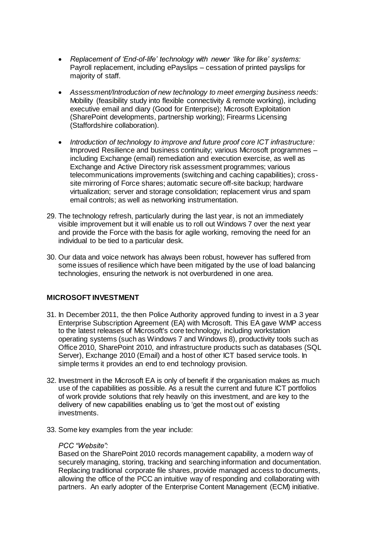- *Replacement of 'End-of-life' technology with newer 'like for like' systems:* Payroll replacement, including ePayslips – cessation of printed payslips for majority of staff.
- *Assessment/Introduction of new technology to meet emerging business needs:* Mobility (feasibility study into flexible connectivity & remote working), including executive email and diary (Good for Enterprise); Microsoft Exploitation (SharePoint developments, partnership working); Firearms Licensing (Staffordshire collaboration).
- *Introduction of technology to improve and future proof core ICT infrastructure:* Improved Resilience and business continuity; various Microsoft programmes – including Exchange (email) remediation and execution exercise, as well as Exchange and Active Directory risk assessment programmes; various telecommunications improvements (switching and caching capabilities); crosssite mirroring of Force shares; automatic secure off-site backup; hardware virtualization; server and storage consolidation; replacement virus and spam email controls; as well as networking instrumentation.
- 29. The technology refresh, particularly during the last year, is not an immediately visible improvement but it will enable us to roll out Windows 7 over the next year and provide the Force with the basis for agile working, removing the need for an individual to be tied to a particular desk.
- 30. Our data and voice network has always been robust, however has suffered from some issues of resilience which have been mitigated by the use of load balancing technologies, ensuring the network is not overburdened in one area.

## **MICROSOFT INVESTMENT**

- 31. In December 2011, the then Police Authority approved funding to invest in a 3 year Enterprise Subscription Agreement (EA) with Microsoft. This EA gave WMP access to the latest releases of Microsoft's core technology, including workstation operating systems (such as Windows 7 and Windows 8), productivity tools such as Office 2010, SharePoint 2010, and infrastructure products such as databases (SQL Server), Exchange 2010 (Email) and a host of other ICT based service tools. In simple terms it provides an end to end technology provision.
- 32. Investment in the Microsoft EA is only of benefit if the organisation makes as much use of the capabilities as possible. As a result the current and future ICT portfolios of work provide solutions that rely heavily on this investment, and are key to the delivery of new capabilities enabling us to 'get the most out of' existing investments.
- 33. Some key examples from the year include:

#### *PCC "Website":*

Based on the SharePoint 2010 records management capability, a modern way of securely managing, storing, tracking and searching information and documentation. Replacing traditional corporate file shares, provide managed access to documents, allowing the office of the PCC an intuitive way of responding and collaborating with partners. An early adopter of the Enterprise Content Management (ECM) initiative.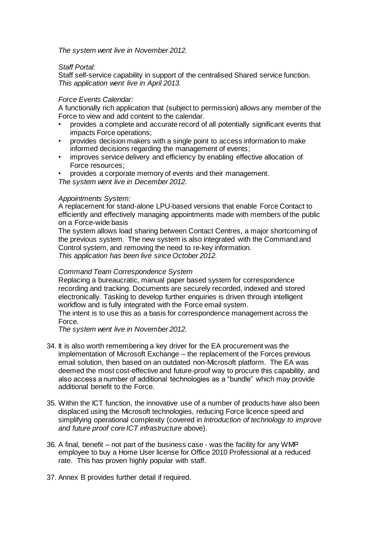*The system went live in November 2012.*

#### *Staff Portal:*

Staff self-service capability in support of the centralised Shared service function. *This application went live in April 2013.*

### *Force Events Calendar:*

A functionally rich application that (subject to permission) allows any member of the Force to view and add content to the calendar.

- provides a complete and accurate record of all potentially significant events that impacts Force operations;
- provides decision makers with a single point to access information to make informed decisions regarding the management of events;
- improves service delivery and efficiency by enabling effective allocation of Force resources;

• provides a corporate memory of events and their management.

*The system went live in December 2012.*

#### *Appointments System:*

A replacement for stand-alone LPU-based versions that enable Force Contact to efficiently and effectively managing appointments made with members of the public on a Force-wide basis

The system allows load sharing between Contact Centres, a major shortcoming of the previous system. The new system is also integrated with the Command and Control system, and removing the need to re-key information. *This application has been live since October 2012.*

#### *Command Team Correspondence System*

Replacing a bureaucratic, manual paper based system for correspondence recording and tracking. Documents are securely recorded, indexed and stored electronically. Tasking to develop further enquiries is driven through intelligent workflow and is fully integrated with the Force email system.

The intent is to use this as a basis for correspondence management across the Force.

*The system went live in November 2012.*

- 34. It is also worth remembering a key driver for the EA procurement was the implementation of Microsoft Exchange – the replacement of the Forces previous email solution, then based on an outdated non-Microsoft platform. The EA was deemed the most cost-effective and future-proof way to procure this capability, and also access a number of additional technologies as a "bundle" which may provide additional benefit to the Force.
- 35. Within the ICT function, the innovative use of a number of products have also been displaced using the Microsoft technologies, reducing Force licence speed and simplifying operational complexity (covered in *Introduction of technology to improve and future proof core ICT infrastructure* above).
- 36. A final, benefit not part of the business case was the facility for any WMP employee to buy a Home User license for Office 2010 Professional at a reduced rate. This has proven highly popular with staff.
- 37. Annex B provides further detail if required.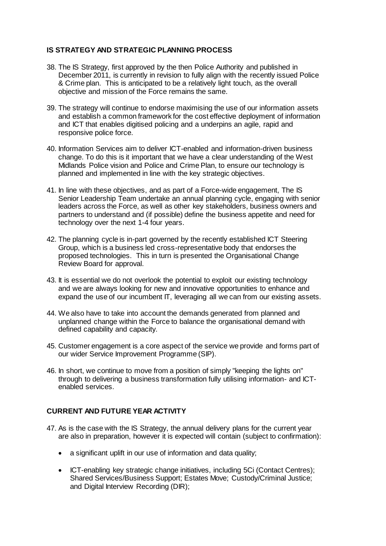# **IS STRATEGY AND STRATEGIC PLANNING PROCESS**

- 38. The IS Strategy, first approved by the then Police Authority and published in December 2011, is currently in revision to fully align with the recently issued Police & Crime plan. This is anticipated to be a relatively light touch, as the overall objective and mission of the Force remains the same.
- 39. The strategy will continue to endorse maximising the use of our information assets and establish a common framework for the cost effective deployment of information and ICT that enables digitised policing and a underpins an agile, rapid and responsive police force.
- 40. Information Services aim to deliver ICT-enabled and information-driven business change. To do this is it important that we have a clear understanding of the West Midlands Police vision and Police and Crime Plan, to ensure our technology is planned and implemented in line with the key strategic objectives.
- 41. In line with these objectives, and as part of a Force-wide engagement, The IS Senior Leadership Team undertake an annual planning cycle, engaging with senior leaders across the Force, as well as other key stakeholders, business owners and partners to understand and (if possible) define the business appetite and need for technology over the next 1-4 four years.
- 42. The planning cycle is in-part governed by the recently established ICT Steering Group, which is a business led cross-representative body that endorses the proposed technologies. This in turn is presented the Organisational Change Review Board for approval.
- 43. It is essential we do not overlook the potential to exploit our existing technology and we are always looking for new and innovative opportunities to enhance and expand the use of our incumbent IT, leveraging all we can from our existing assets.
- 44. We also have to take into account the demands generated from planned and unplanned change within the Force to balance the organisational demand with defined capability and capacity.
- 45. Customer engagement is a core aspect of the service we provide and forms part of our wider Service Improvement Programme (SIP).
- 46. In short, we continue to move from a position of simply "keeping the lights on" through to delivering a business transformation fully utilising information- and ICTenabled services.

## **CURRENT AND FUTURE YEAR ACTIVITY**

- 47. As is the case with the IS Strategy, the annual delivery plans for the current year are also in preparation, however it is expected will contain (subject to confirmation):
	- a significant uplift in our use of information and data quality;
	- ICT-enabling key strategic change initiatives, including 5Ci (Contact Centres); Shared Services/Business Support; Estates Move; Custody/Criminal Justice; and Digital Interview Recording (DIR);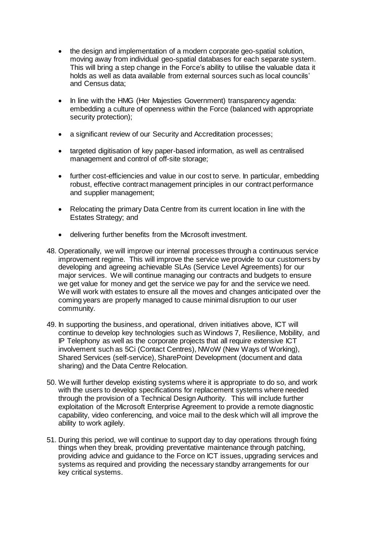- the design and implementation of a modern corporate geo-spatial solution, moving away from individual geo-spatial databases for each separate system. This will bring a step change in the Force's ability to utilise the valuable data it holds as well as data available from external sources such as local councils' and Census data;
- In line with the HMG (Her Majesties Government) transparency agenda: embedding a culture of openness within the Force (balanced with appropriate security protection);
- a significant review of our Security and Accreditation processes;
- targeted digitisation of key paper-based information, as well as centralised management and control of off-site storage;
- further cost-efficiencies and value in our cost to serve. In particular, embedding robust, effective contract management principles in our contract performance and supplier management;
- Relocating the primary Data Centre from its current location in line with the Estates Strategy; and
- delivering further benefits from the Microsoft investment.
- 48. Operationally, we will improve our internal processes through a continuous service improvement regime. This will improve the service we provide to our customers by developing and agreeing achievable SLAs (Service Level Agreements) for our major services. We will continue managing our contracts and budgets to ensure we get value for money and get the service we pay for and the service we need. We will work with estates to ensure all the moves and changes anticipated over the coming years are properly managed to cause minimal disruption to our user community.
- 49. In supporting the business, and operational, driven initiatives above, ICT will continue to develop key technologies such as Windows 7, Resilience, Mobility, and IP Telephony as well as the corporate projects that all require extensive ICT involvement such as 5Ci (Contact Centres), NWoW (New Ways of Working), Shared Services (self-service), SharePoint Development (document and data sharing) and the Data Centre Relocation.
- 50. We will further develop existing systems where it is appropriate to do so, and work with the users to develop specifications for replacement systems where needed through the provision of a Technical Design Authority. This will include further exploitation of the Microsoft Enterprise Agreement to provide a remote diagnostic capability, video conferencing, and voice mail to the desk which will all improve the ability to work agilely.
- 51. During this period, we will continue to support day to day operations through fixing things when they break, providing preventative maintenance through patching, providing advice and guidance to the Force on ICT issues, upgrading services and systems as required and providing the necessary standby arrangements for our key critical systems.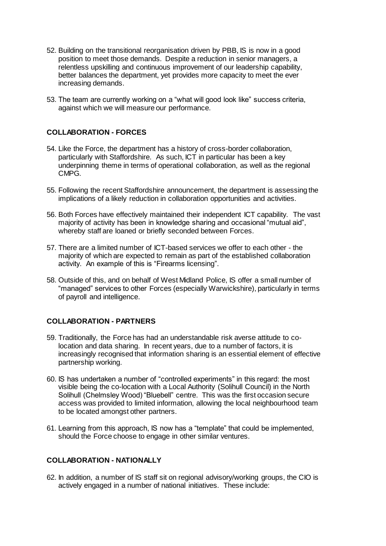- 52. Building on the transitional reorganisation driven by PBB, IS is now in a good position to meet those demands. Despite a reduction in senior managers, a relentless upskilling and continuous improvement of our leadership capability, better balances the department, yet provides more capacity to meet the ever increasing demands.
- 53. The team are currently working on a "what will good look like" success criteria, against which we will measure our performance.

# **COLLABORATION - FORCES**

- 54. Like the Force, the department has a history of cross-border collaboration, particularly with Staffordshire. As such, ICT in particular has been a key underpinning theme in terms of operational collaboration, as well as the regional CMPG.
- 55. Following the recent Staffordshire announcement, the department is assessing the implications of a likely reduction in collaboration opportunities and activities.
- 56. Both Forces have effectively maintained their independent ICT capability. The vast majority of activity has been in knowledge sharing and occasional "mutual aid", whereby staff are loaned or briefly seconded between Forces.
- 57. There are a limited number of ICT-based services we offer to each other the majority of which are expected to remain as part of the established collaboration activity. An example of this is "Firearms licensing".
- 58. Outside of this, and on behalf of West Midland Police, IS offer a small number of "managed" services to other Forces (especially Warwickshire), particularly in terms of payroll and intelligence.

## **COLLABORATION - PARTNERS**

- 59. Traditionally, the Force has had an understandable risk averse attitude to colocation and data sharing. In recent years, due to a number of factors, it is increasingly recognised that information sharing is an essential element of effective partnership working.
- 60. IS has undertaken a number of "controlled experiments" in this regard: the most visible being the co-location with a Local Authority (Solihull Council) in the North Solihull (Chelmsley Wood) "Bluebell" centre. This was the first occasion secure access was provided to limited information, allowing the local neighbourhood team to be located amongst other partners.
- 61. Learning from this approach, IS now has a "template" that could be implemented, should the Force choose to engage in other similar ventures.

## **COLLABORATION - NATIONALLY**

62. In addition, a number of IS staff sit on regional advisory/working groups, the CIO is actively engaged in a number of national initiatives. These include: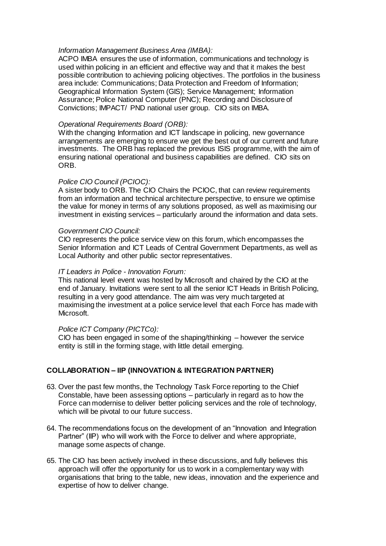#### *Information Management Business Area (IMBA):*

ACPO IMBA ensures the use of information, communications and technology is used within policing in an efficient and effective way and that it makes the best possible contribution to achieving policing objectives. The portfolios in the business area include: Communications; Data Protection and Freedom of Information; Geographical Information System (GIS); Service Management; Information Assurance; Police National Computer (PNC); Recording and Disclosure of Convictions; IMPACT/ PND national user group. CIO sits on IMBA.

#### *Operational Requirements Board (ORB):*

With the changing Information and ICT landscape in policing, new governance arrangements are emerging to ensure we get the best out of our current and future investments. The ORB has replaced the previous ISIS programme, with the aim of ensuring national operational and business capabilities are defined. CIO sits on ORB.

#### *Police CIO Council (PCIOC):*

A sister body to ORB. The CIO Chairs the PCIOC, that can review requirements from an information and technical architecture perspective, to ensure we optimise the value for money in terms of any solutions proposed, as well as maximising our investment in existing services – particularly around the information and data sets.

#### *Government CIO Council:*

CIO represents the police service view on this forum, which encompasses the Senior Information and ICT Leads of Central Government Departments, as well as Local Authority and other public sector representatives.

#### *IT Leaders in Police - Innovation Forum:*

This national level event was hosted by Microsoft and chaired by the CIO at the end of January. Invitations were sent to all the senior ICT Heads in British Policing, resulting in a very good attendance. The aim was very much targeted at maximising the investment at a police service level that each Force has made with Microsoft.

## *Police ICT Company (PICTCo):*

CIO has been engaged in some of the shaping/thinking – however the service entity is still in the forming stage, with little detail emerging.

## **COLLABORATION – IIP (INNOVATION & INTEGRATION PARTNER)**

- 63. Over the past few months, the Technology Task Force reporting to the Chief Constable, have been assessing options – particularly in regard as to how the Force can modernise to deliver better policing services and the role of technology, which will be pivotal to our future success.
- 64. The recommendations focus on the development of an "Innovation and Integration Partner" (IIP) who will work with the Force to deliver and where appropriate, manage some aspects of change.
- 65. The CIO has been actively involved in these discussions, and fully believes this approach will offer the opportunity for us to work in a complementary way with organisations that bring to the table, new ideas, innovation and the experience and expertise of how to deliver change.